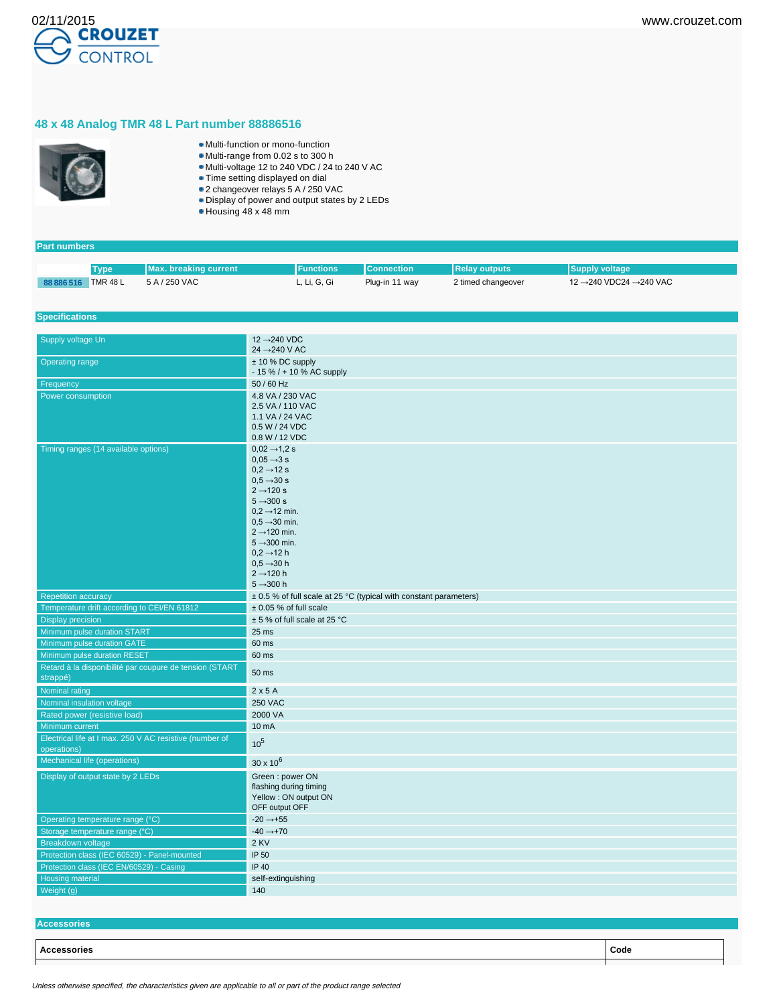

## **48 x 48 Analog TMR 48 L Part number 88886516**



- Multi-function or mono-function
- Multi-range from 0.02 s to 300 h
- Multi-voltage 12 to 240 VDC / 24 to 240 V AC
- Time setting displayed on dial
- 2 changeover relays 5 A / 250 VAC Display of power and output states by 2 LEDs
- Housing 48 x 48 mm
- 

| <b>Part numbers</b>                                        |                              |                                                         |                                                                       |                   |                      |                        |  |  |
|------------------------------------------------------------|------------------------------|---------------------------------------------------------|-----------------------------------------------------------------------|-------------------|----------------------|------------------------|--|--|
|                                                            |                              | <b>Max. breaking current</b>                            | <b>Functions</b>                                                      | <b>Connection</b> | <b>Relay outputs</b> | <b>Supply voltage</b>  |  |  |
|                                                            | <b>Type</b>                  | 5 A / 250 VAC                                           |                                                                       |                   |                      | 12 →240 VDC24 →240 VAC |  |  |
| 88 886 516 TMR 48 L                                        |                              |                                                         | L, Li, G, Gi                                                          | Plug-in 11 way    | 2 timed changeover   |                        |  |  |
|                                                            |                              |                                                         |                                                                       |                   |                      |                        |  |  |
| <b>Specifications</b>                                      |                              |                                                         |                                                                       |                   |                      |                        |  |  |
|                                                            |                              |                                                         |                                                                       |                   |                      |                        |  |  |
| Supply voltage Un                                          |                              |                                                         | 12 → 240 VDC<br>24 → 240 V AC                                         |                   |                      |                        |  |  |
| <b>Operating range</b>                                     |                              |                                                         | $± 10 \%$ DC supply<br>$-15\%$ / + 10 % AC supply                     |                   |                      |                        |  |  |
| Frequency                                                  |                              |                                                         | 50 / 60 Hz                                                            |                   |                      |                        |  |  |
| Power consumption                                          |                              |                                                         | 4.8 VA / 230 VAC                                                      |                   |                      |                        |  |  |
|                                                            |                              |                                                         | 2.5 VA / 110 VAC                                                      |                   |                      |                        |  |  |
|                                                            |                              |                                                         | 1.1 VA / 24 VAC                                                       |                   |                      |                        |  |  |
|                                                            |                              |                                                         | 0.5 W / 24 VDC                                                        |                   |                      |                        |  |  |
|                                                            |                              |                                                         | 0.8 W / 12 VDC                                                        |                   |                      |                        |  |  |
| Timing ranges (14 available options)                       |                              |                                                         | $0,02 \rightarrow 1,2$ s                                              |                   |                      |                        |  |  |
|                                                            |                              |                                                         | $0.05 \rightarrow 3 s$<br>$0.2 \rightarrow 12$ s                      |                   |                      |                        |  |  |
|                                                            |                              |                                                         | $0,5 \rightarrow 30 s$                                                |                   |                      |                        |  |  |
|                                                            |                              |                                                         | $2 \rightarrow 120$ s                                                 |                   |                      |                        |  |  |
|                                                            |                              |                                                         | $5 \rightarrow 300 s$                                                 |                   |                      |                        |  |  |
|                                                            |                              |                                                         | $0.2 \rightarrow 12$ min.                                             |                   |                      |                        |  |  |
|                                                            |                              |                                                         | $0.5 \rightarrow 30$ min.                                             |                   |                      |                        |  |  |
|                                                            |                              |                                                         | $2 \rightarrow 120$ min.                                              |                   |                      |                        |  |  |
|                                                            |                              |                                                         | $5 \rightarrow 300$ min.<br>$0,2 \rightarrow 12$ h                    |                   |                      |                        |  |  |
|                                                            |                              |                                                         | $0,5 \rightarrow 30$ h                                                |                   |                      |                        |  |  |
|                                                            |                              |                                                         | $2 \rightarrow 120$ h                                                 |                   |                      |                        |  |  |
|                                                            |                              |                                                         | $5 - 300h$                                                            |                   |                      |                        |  |  |
| <b>Repetition accuracy</b>                                 |                              |                                                         | $\pm$ 0.5 % of full scale at 25 °C (typical with constant parameters) |                   |                      |                        |  |  |
| Temperature drift according to CEI/EN 61812                |                              | $\pm$ 0.05 % of full scale                              |                                                                       |                   |                      |                        |  |  |
| <b>Display precision</b>                                   |                              | ± 5 % of full scale at 25 °C                            |                                                                       |                   |                      |                        |  |  |
| Minimum pulse duration START                               |                              | 25 ms                                                   |                                                                       |                   |                      |                        |  |  |
| Minimum pulse duration GATE                                |                              |                                                         | 60 ms                                                                 |                   |                      |                        |  |  |
| Minimum pulse duration RESET                               |                              |                                                         | 60 ms                                                                 |                   |                      |                        |  |  |
| Retard à la disponibilité par coupure de tension (START    |                              |                                                         |                                                                       |                   |                      |                        |  |  |
| strappé)                                                   |                              |                                                         | 50 ms                                                                 |                   |                      |                        |  |  |
| Nominal rating                                             |                              |                                                         | 2x5A                                                                  |                   |                      |                        |  |  |
|                                                            | Nominal insulation voltage   |                                                         | <b>250 VAC</b>                                                        |                   |                      |                        |  |  |
| Rated power (resistive load)                               |                              |                                                         | 2000 VA                                                               |                   |                      |                        |  |  |
| Minimum current                                            |                              |                                                         | 10 mA                                                                 |                   |                      |                        |  |  |
|                                                            |                              | Electrical life at I max. 250 V AC resistive (number of | 10 <sup>5</sup>                                                       |                   |                      |                        |  |  |
| operations)                                                |                              |                                                         |                                                                       |                   |                      |                        |  |  |
|                                                            | Mechanical life (operations) |                                                         | $30 \times 10^6$                                                      |                   |                      |                        |  |  |
| Display of output state by 2 LEDs                          |                              |                                                         | Green: power ON                                                       |                   |                      |                        |  |  |
|                                                            |                              |                                                         | flashing during timing                                                |                   |                      |                        |  |  |
|                                                            |                              |                                                         | Yellow : ON output ON                                                 |                   |                      |                        |  |  |
|                                                            |                              |                                                         | OFF output OFF                                                        |                   |                      |                        |  |  |
| Operating temperature range (°C)                           |                              |                                                         | $-20 \rightarrow +55$                                                 |                   |                      |                        |  |  |
| Storage temperature range (°C)<br><b>Breakdown voltage</b> |                              |                                                         | $-40 \rightarrow +70$                                                 |                   |                      |                        |  |  |
|                                                            |                              |                                                         | 2 KV                                                                  |                   |                      |                        |  |  |
|                                                            |                              | Protection class (IEC 60529) - Panel-mounted            | IP 50                                                                 |                   |                      |                        |  |  |
|                                                            |                              | Protection class (IEC EN/60529) - Casing                | <b>IP 40</b>                                                          |                   |                      |                        |  |  |
| <b>Housing material</b>                                    |                              |                                                         | self-extinguishing                                                    |                   |                      |                        |  |  |
| Weight (g)                                                 |                              |                                                         | 140                                                                   |                   |                      |                        |  |  |

## **Accessories**

**Accessories Code**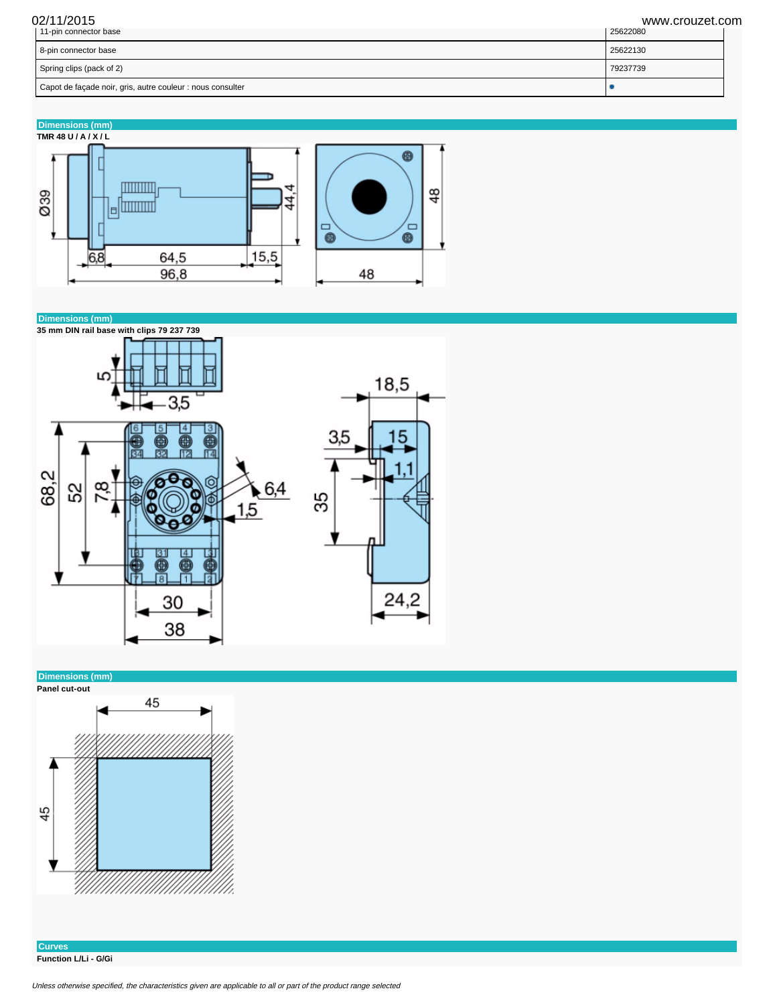02/11/2015 www.crouzet.com

| Capot de façade noir, gris, autre couleur : nous consulter |          |
|------------------------------------------------------------|----------|
| Spring clips (pack of 2)                                   | 79237739 |
| 8-pin connector base                                       | 25622130 |
| 11-pin connector base                                      | 25622080 |

**Dimensions (mm)**





**Dimensions (mm)**



**Curves Function L/Li - G/Gi**